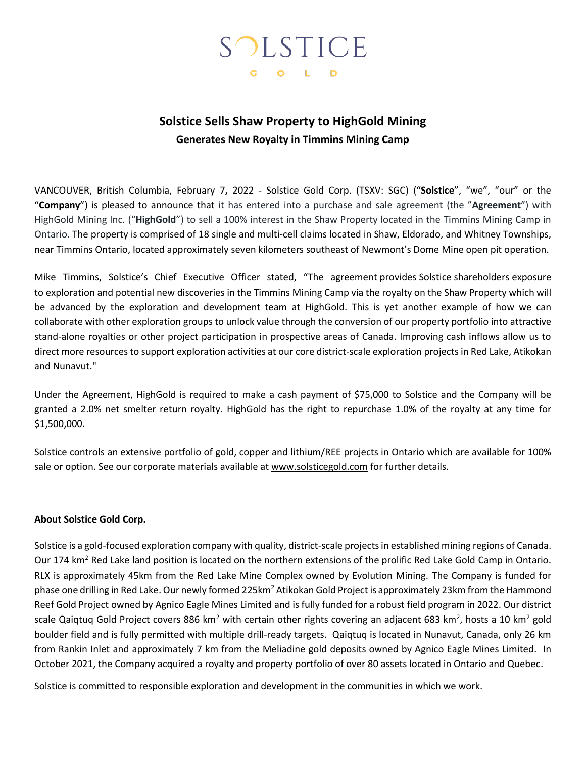# SOLSTICE G O L D

# **Solstice Sells Shaw Property to HighGold Mining Generates New Royalty in Timmins Mining Camp**

VANCOUVER, British Columbia, February 7**,** 2022 - Solstice Gold Corp. (TSXV: SGC) ("**Solstice**", "we", "our" or the "**Company**") is pleased to announce that it has entered into a purchase and sale agreement (the "**Agreement**") with HighGold Mining Inc. ("**HighGold**") to sell a 100% interest in the Shaw Property located in the Timmins Mining Camp in Ontario. The property is comprised of 18 single and multi-cell claims located in Shaw, Eldorado, and Whitney Townships, near Timmins Ontario, located approximately seven kilometers southeast of Newmont's Dome Mine open pit operation.

Mike Timmins, Solstice's Chief Executive Officer stated, "The agreement provides Solstice shareholders exposure to exploration and potential new discoveries in the Timmins Mining Camp via the royalty on the Shaw Property which will be advanced by the exploration and development team at HighGold. This is yet another example of how we can collaborate with other exploration groups to unlock value through the conversion of our property portfolio into attractive stand-alone royalties or other project participation in prospective areas of Canada. Improving cash inflows allow us to direct more resources to support exploration activities at our core district-scale exploration projects in Red Lake, Atikokan and Nunavut."

Under the Agreement, HighGold is required to make a cash payment of \$75,000 to Solstice and the Company will be granted a 2.0% net smelter return royalty. HighGold has the right to repurchase 1.0% of the royalty at any time for \$1,500,000.

Solstice controls an extensive portfolio of gold, copper and lithium/REE projects in Ontario which are available for 100% sale or option. See our corporate materials available at www.solsticegold.com for further details.

### **About Solstice Gold Corp.**

Solstice is a gold-focused exploration company with quality, district-scale projects in established mining regions of Canada. Our 174 km<sup>2</sup> Red Lake land position is located on the northern extensions of the prolific Red Lake Gold Camp in Ontario. RLX is approximately 45km from the Red Lake Mine Complex owned by Evolution Mining. The Company is funded for phase one drilling in Red Lake. Our newly formed 225km<sup>2</sup> Atikokan Gold Project is approximately 23km from the Hammond Reef Gold Project owned by Agnico Eagle Mines Limited and is fully funded for a robust field program in 2022. Our district scale Qaiqtuq Gold Project covers 886 km<sup>2</sup> with certain other rights covering an adjacent 683 km<sup>2</sup>, hosts a 10 km<sup>2</sup> gold boulder field and is fully permitted with multiple drill-ready targets. Qaiqtuq is located in Nunavut, Canada, only 26 km from Rankin Inlet and approximately 7 km from the Meliadine gold deposits owned by Agnico Eagle Mines Limited. In October 2021, the Company acquired a royalty and property portfolio of over 80 assets located in Ontario and Quebec.

Solstice is committed to responsible exploration and development in the communities in which we work.